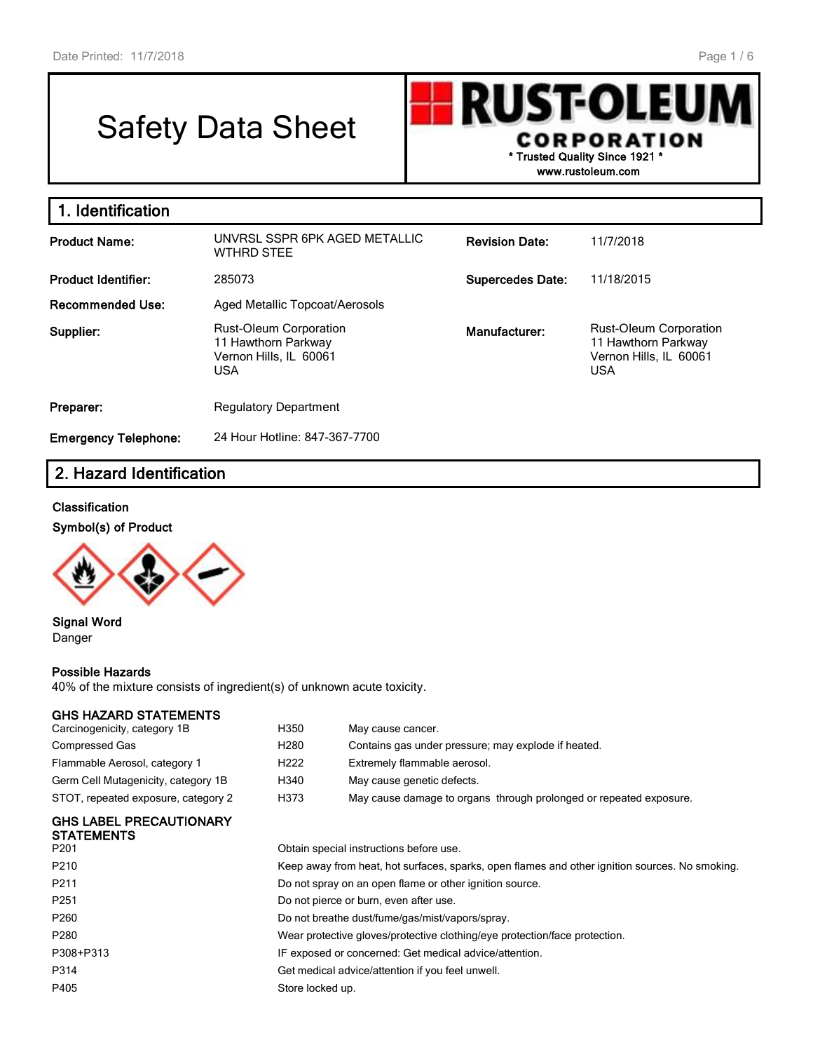# Safety Data Sheet

**RUST-OLEU CORPORATION \* Trusted Quality Since 1921 \***

**www.rustoleum.com**

| 1. Identification           |                                                                                              |                         |                                                                                              |
|-----------------------------|----------------------------------------------------------------------------------------------|-------------------------|----------------------------------------------------------------------------------------------|
| <b>Product Name:</b>        | UNVRSL SSPR 6PK AGED METALLIC<br><b>WTHRD STEE</b>                                           | <b>Revision Date:</b>   | 11/7/2018                                                                                    |
| <b>Product Identifier:</b>  | 285073                                                                                       | <b>Supercedes Date:</b> | 11/18/2015                                                                                   |
| <b>Recommended Use:</b>     | Aged Metallic Topcoat/Aerosols                                                               |                         |                                                                                              |
| Supplier:                   | <b>Rust-Oleum Corporation</b><br>11 Hawthorn Parkway<br>Vernon Hills, IL 60061<br><b>USA</b> | Manufacturer:           | <b>Rust-Oleum Corporation</b><br>11 Hawthorn Parkway<br>Vernon Hills, IL 60061<br><b>USA</b> |
| Preparer:                   | <b>Regulatory Department</b>                                                                 |                         |                                                                                              |
| <b>Emergency Telephone:</b> | 24 Hour Hotline: 847-367-7700                                                                |                         |                                                                                              |

# **2. Hazard Identification**

#### **Classification**

#### **Symbol(s) of Product**



**Signal Word** Danger

#### **Possible Hazards**

40% of the mixture consists of ingredient(s) of unknown acute toxicity.

#### **GHS HAZARD STATEMENTS**

| Carcinogenicity, category 1B                        | H350                                                                                           | May cause cancer.                                                  |  |  |  |
|-----------------------------------------------------|------------------------------------------------------------------------------------------------|--------------------------------------------------------------------|--|--|--|
| Compressed Gas                                      | H280                                                                                           | Contains gas under pressure; may explode if heated.                |  |  |  |
| Flammable Aerosol, category 1                       | H222                                                                                           | Extremely flammable aerosol.                                       |  |  |  |
| Germ Cell Mutagenicity, category 1B                 | H340                                                                                           | May cause genetic defects.                                         |  |  |  |
| STOT, repeated exposure, category 2                 | H373                                                                                           | May cause damage to organs through prolonged or repeated exposure. |  |  |  |
| <b>GHS LABEL PRECAUTIONARY</b><br><b>STATEMENTS</b> |                                                                                                |                                                                    |  |  |  |
| P201                                                | Obtain special instructions before use.                                                        |                                                                    |  |  |  |
| P210                                                | Keep away from heat, hot surfaces, sparks, open flames and other ignition sources. No smoking. |                                                                    |  |  |  |
| P211                                                | Do not spray on an open flame or other ignition source.                                        |                                                                    |  |  |  |
| P251                                                |                                                                                                | Do not pierce or burn, even after use.                             |  |  |  |
| P260                                                |                                                                                                | Do not breathe dust/fume/gas/mist/vapors/spray.                    |  |  |  |
| P280                                                | Wear protective gloves/protective clothing/eye protection/face protection.                     |                                                                    |  |  |  |
| P308+P313                                           | IF exposed or concerned: Get medical advice/attention.                                         |                                                                    |  |  |  |
| P314                                                | Get medical advice/attention if you feel unwell.                                               |                                                                    |  |  |  |

P405 Store locked up.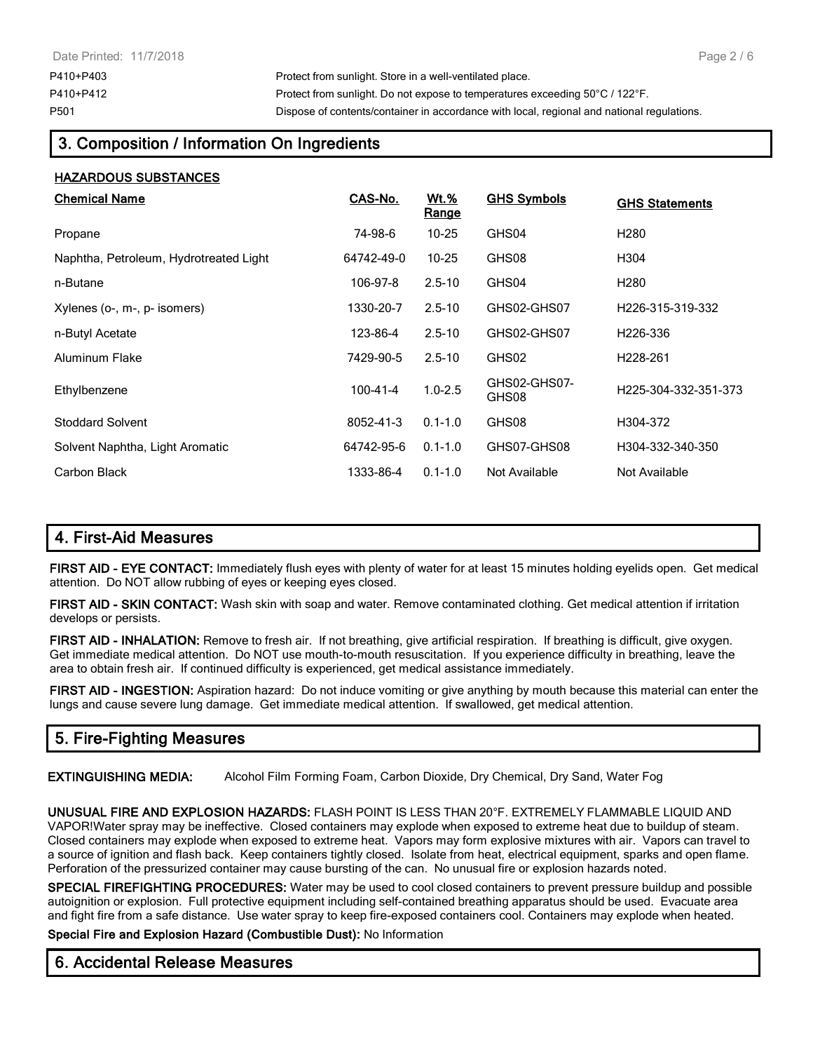P410+P403 Protect from sunlight. Store in a well-ventilated place. P410+P412 Protect from sunlight. Do not expose to temperatures exceeding 50°C / 122°F. P501 Dispose of contents/container in accordance with local, regional and national regulations.

# **3. Composition / Information On Ingredients**

## **HAZARDOUS SUBSTANCES**

| <b>Chemical Name</b>                   | CAS-No.        | Wt.%<br>Range | <b>GHS Symbols</b>    | <b>GHS Statements</b> |
|----------------------------------------|----------------|---------------|-----------------------|-----------------------|
| Propane                                | 74-98-6        | $10 - 25$     | GHS04                 | H <sub>280</sub>      |
| Naphtha, Petroleum, Hydrotreated Light | 64742-49-0     | $10 - 25$     | GHS08                 | H304                  |
| n-Butane                               | 106-97-8       | $2.5 - 10$    | GHS04                 | H <sub>280</sub>      |
| Xylenes (o-, m-, p- isomers)           | 1330-20-7      | $2.5 - 10$    | GHS02-GHS07           | H226-315-319-332      |
| n-Butyl Acetate                        | 123-86-4       | $2.5 - 10$    | GHS02-GHS07           | H <sub>226</sub> -336 |
| Aluminum Flake                         | 7429-90-5      | $2.5 - 10$    | GHS02                 | H <sub>228</sub> -261 |
| Ethylbenzene                           | $100 - 41 - 4$ | $1.0 - 2.5$   | GHS02-GHS07-<br>GHS08 | H225-304-332-351-373  |
| <b>Stoddard Solvent</b>                | 8052-41-3      | $0.1 - 1.0$   | GHS08                 | H304-372              |
| Solvent Naphtha, Light Aromatic        | 64742-95-6     | $0.1 - 1.0$   | GHS07-GHS08           | H304-332-340-350      |
| Carbon Black                           | 1333-86-4      | $0.1 - 1.0$   | Not Available         | Not Available         |

# **4. First-Aid Measures**

**FIRST AID - EYE CONTACT:** Immediately flush eyes with plenty of water for at least 15 minutes holding eyelids open. Get medical attention. Do NOT allow rubbing of eyes or keeping eyes closed.

**FIRST AID - SKIN CONTACT:** Wash skin with soap and water. Remove contaminated clothing. Get medical attention if irritation develops or persists.

**FIRST AID - INHALATION:** Remove to fresh air. If not breathing, give artificial respiration. If breathing is difficult, give oxygen. Get immediate medical attention. Do NOT use mouth-to-mouth resuscitation. If you experience difficulty in breathing, leave the area to obtain fresh air. If continued difficulty is experienced, get medical assistance immediately.

**FIRST AID - INGESTION:** Aspiration hazard: Do not induce vomiting or give anything by mouth because this material can enter the lungs and cause severe lung damage. Get immediate medical attention. If swallowed, get medical attention.

# **5. Fire-Fighting Measures**

**EXTINGUISHING MEDIA:** Alcohol Film Forming Foam, Carbon Dioxide, Dry Chemical, Dry Sand, Water Fog

**UNUSUAL FIRE AND EXPLOSION HAZARDS:** FLASH POINT IS LESS THAN 20°F. EXTREMELY FLAMMABLE LIQUID AND VAPOR!Water spray may be ineffective. Closed containers may explode when exposed to extreme heat due to buildup of steam. Closed containers may explode when exposed to extreme heat. Vapors may form explosive mixtures with air. Vapors can travel to a source of ignition and flash back. Keep containers tightly closed. Isolate from heat, electrical equipment, sparks and open flame. Perforation of the pressurized container may cause bursting of the can. No unusual fire or explosion hazards noted.

**SPECIAL FIREFIGHTING PROCEDURES:** Water may be used to cool closed containers to prevent pressure buildup and possible autoignition or explosion. Full protective equipment including self-contained breathing apparatus should be used. Evacuate area and fight fire from a safe distance. Use water spray to keep fire-exposed containers cool. Containers may explode when heated.

**Special Fire and Explosion Hazard (Combustible Dust):** No Information

## **6. Accidental Release Measures**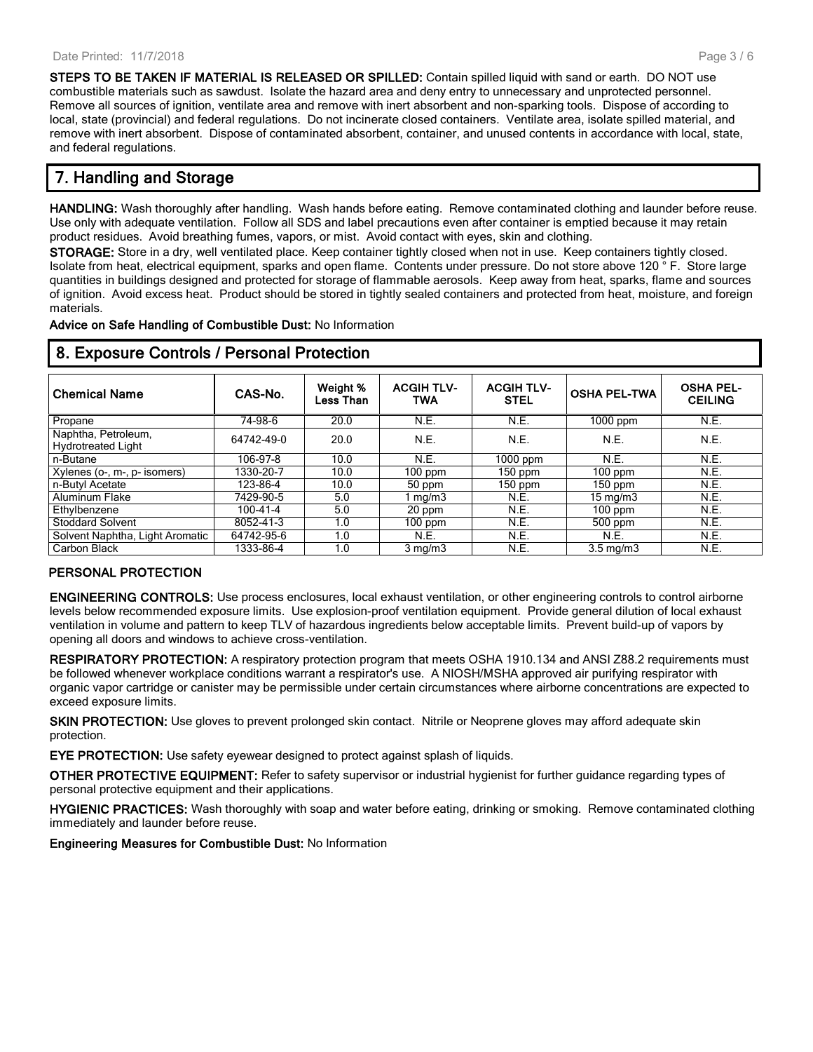**STEPS TO BE TAKEN IF MATERIAL IS RELEASED OR SPILLED:** Contain spilled liquid with sand or earth. DO NOT use combustible materials such as sawdust. Isolate the hazard area and deny entry to unnecessary and unprotected personnel. Remove all sources of ignition, ventilate area and remove with inert absorbent and non-sparking tools. Dispose of according to local, state (provincial) and federal regulations. Do not incinerate closed containers. Ventilate area, isolate spilled material, and remove with inert absorbent. Dispose of contaminated absorbent, container, and unused contents in accordance with local, state, and federal regulations.

# **7. Handling and Storage**

**HANDLING:** Wash thoroughly after handling. Wash hands before eating. Remove contaminated clothing and launder before reuse. Use only with adequate ventilation. Follow all SDS and label precautions even after container is emptied because it may retain product residues. Avoid breathing fumes, vapors, or mist. Avoid contact with eyes, skin and clothing.

**STORAGE:** Store in a dry, well ventilated place. Keep container tightly closed when not in use. Keep containers tightly closed. Isolate from heat, electrical equipment, sparks and open flame. Contents under pressure. Do not store above 120 ° F. Store large quantities in buildings designed and protected for storage of flammable aerosols. Keep away from heat, sparks, flame and sources of ignition. Avoid excess heat. Product should be stored in tightly sealed containers and protected from heat, moisture, and foreign materials.

**Advice on Safe Handling of Combustible Dust:** No Information

| <b>Chemical Name</b>                             | CAS-No.        | Weight %<br>Less Than | <b>ACGIH TLV-</b><br><b>TWA</b> | <b>ACGIH TLV-</b><br><b>STEL</b> | <b>OSHA PEL-TWA</b> | <b>OSHA PEL-</b><br><b>CEILING</b> |
|--------------------------------------------------|----------------|-----------------------|---------------------------------|----------------------------------|---------------------|------------------------------------|
| Propane                                          | 74-98-6        | 20.0                  | N.E.                            | N.E.                             | $1000$ ppm          | N.E.                               |
| Naphtha, Petroleum,<br><b>Hydrotreated Light</b> | 64742-49-0     | 20.0                  | N.E.                            | N.E.                             | N.E.                | N.E.                               |
| n-Butane                                         | 106-97-8       | 10.0                  | N.E.                            | $1000$ ppm                       | N.E.                | N.E.                               |
| Xylenes (o-, m-, p- isomers)                     | 1330-20-7      | 10.0                  | $100$ ppm                       | $150$ ppm                        | $100$ ppm           | N.E.                               |
| n-Butyl Acetate                                  | 123-86-4       | 10.0                  | 50 ppm                          | $150$ ppm                        | $150$ ppm           | N.E.                               |
| Aluminum Flake                                   | 7429-90-5      | 5.0                   | mg/m3                           | N.E.                             | $15 \text{ mg/m}$   | N.E.                               |
| Ethylbenzene                                     | $100 - 41 - 4$ | 5.0                   | 20 ppm                          | N.E.                             | $100$ ppm           | N.E.                               |
| <b>Stoddard Solvent</b>                          | 8052-41-3      | 1.0                   | $100$ ppm                       | N.E.                             | 500 ppm             | N.E.                               |
| Solvent Naphtha, Light Aromatic                  | 64742-95-6     | 1.0                   | <b>N.E.</b>                     | N.E.                             | <b>N.E.</b>         | N.E.                               |
| Carbon Black                                     | 1333-86-4      | 1.0                   | $3 \text{ mg/m}$                | N.E.                             | $3.5 \text{ mg/m}$  | N.E.                               |

## **8. Exposure Controls / Personal Protection**

#### **PERSONAL PROTECTION**

**ENGINEERING CONTROLS:** Use process enclosures, local exhaust ventilation, or other engineering controls to control airborne levels below recommended exposure limits. Use explosion-proof ventilation equipment. Provide general dilution of local exhaust ventilation in volume and pattern to keep TLV of hazardous ingredients below acceptable limits. Prevent build-up of vapors by opening all doors and windows to achieve cross-ventilation.

**RESPIRATORY PROTECTION:** A respiratory protection program that meets OSHA 1910.134 and ANSI Z88.2 requirements must be followed whenever workplace conditions warrant a respirator's use. A NIOSH/MSHA approved air purifying respirator with organic vapor cartridge or canister may be permissible under certain circumstances where airborne concentrations are expected to exceed exposure limits.

**SKIN PROTECTION:** Use gloves to prevent prolonged skin contact. Nitrile or Neoprene gloves may afford adequate skin protection.

**EYE PROTECTION:** Use safety eyewear designed to protect against splash of liquids.

**OTHER PROTECTIVE EQUIPMENT:** Refer to safety supervisor or industrial hygienist for further guidance regarding types of personal protective equipment and their applications.

**HYGIENIC PRACTICES:** Wash thoroughly with soap and water before eating, drinking or smoking. Remove contaminated clothing immediately and launder before reuse.

**Engineering Measures for Combustible Dust:** No Information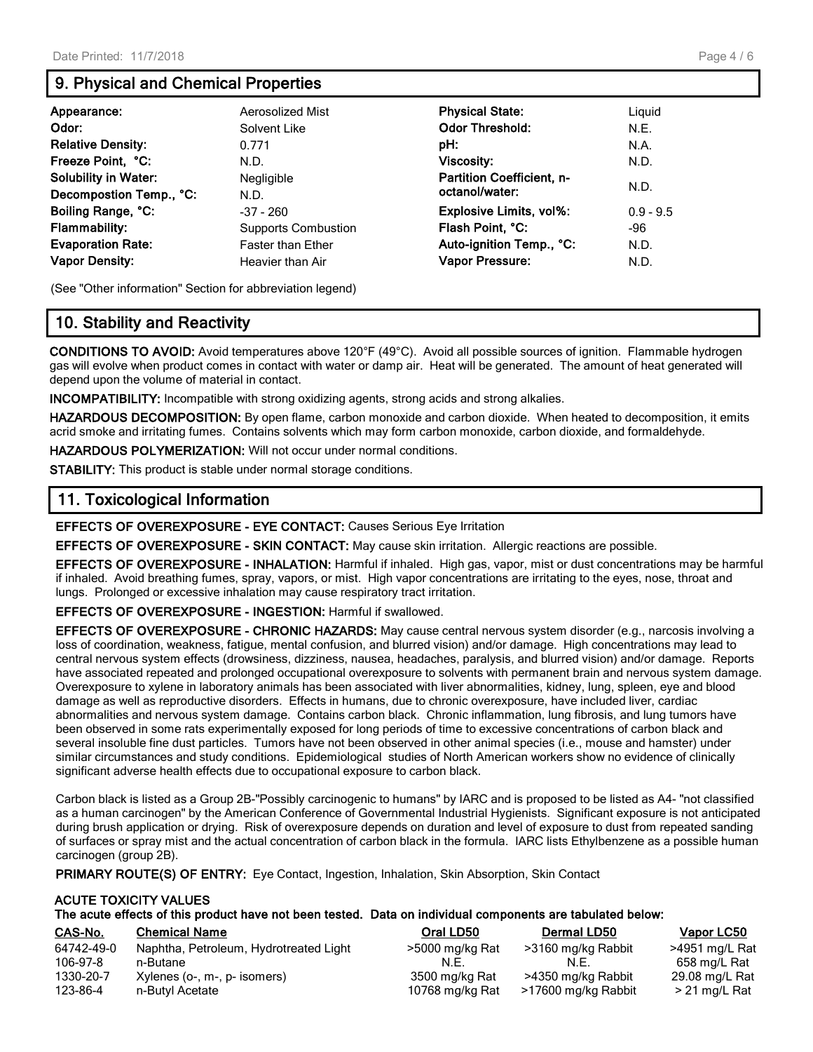# **9. Physical and Chemical Properties**

| Appearance:                 | Aerosolized Mist           | <b>Physical State:</b>           | Liguid      |
|-----------------------------|----------------------------|----------------------------------|-------------|
| Odor:                       | Solvent Like               | <b>Odor Threshold:</b>           | N.E.        |
| <b>Relative Density:</b>    | 0.771                      | pH:                              | N.A.        |
| Freeze Point, °C:           | N.D.                       | <b>Viscosity:</b>                | N.D.        |
| <b>Solubility in Water:</b> | <b>Negligible</b>          | <b>Partition Coefficient, n-</b> | N.D.        |
| Decompostion Temp., °C:     | N.D.                       | octanol/water:                   |             |
| Boiling Range, °C:          | $-37 - 260$                | Explosive Limits, vol%:          | $0.9 - 9.5$ |
| <b>Flammability:</b>        | <b>Supports Combustion</b> | Flash Point, °C:                 | -96         |
| <b>Evaporation Rate:</b>    | <b>Faster than Ether</b>   | Auto-ignition Temp., °C:         | N.D.        |
| <b>Vapor Density:</b>       | Heavier than Air           | Vapor Pressure:                  | N.D.        |

(See "Other information" Section for abbreviation legend)

# **10. Stability and Reactivity**

**CONDITIONS TO AVOID:** Avoid temperatures above 120°F (49°C). Avoid all possible sources of ignition. Flammable hydrogen gas will evolve when product comes in contact with water or damp air. Heat will be generated. The amount of heat generated will depend upon the volume of material in contact.

**INCOMPATIBILITY:** Incompatible with strong oxidizing agents, strong acids and strong alkalies.

**HAZARDOUS DECOMPOSITION:** By open flame, carbon monoxide and carbon dioxide. When heated to decomposition, it emits acrid smoke and irritating fumes. Contains solvents which may form carbon monoxide, carbon dioxide, and formaldehyde.

**HAZARDOUS POLYMERIZATION:** Will not occur under normal conditions.

**STABILITY:** This product is stable under normal storage conditions.

## **11. Toxicological Information**

**EFFECTS OF OVEREXPOSURE - EYE CONTACT:** Causes Serious Eye Irritation

**EFFECTS OF OVEREXPOSURE - SKIN CONTACT:** May cause skin irritation. Allergic reactions are possible.

**EFFECTS OF OVEREXPOSURE - INHALATION:** Harmful if inhaled. High gas, vapor, mist or dust concentrations may be harmful if inhaled. Avoid breathing fumes, spray, vapors, or mist. High vapor concentrations are irritating to the eyes, nose, throat and lungs. Prolonged or excessive inhalation may cause respiratory tract irritation.

**EFFECTS OF OVEREXPOSURE - INGESTION:** Harmful if swallowed.

**EFFECTS OF OVEREXPOSURE - CHRONIC HAZARDS:** May cause central nervous system disorder (e.g., narcosis involving a loss of coordination, weakness, fatigue, mental confusion, and blurred vision) and/or damage. High concentrations may lead to central nervous system effects (drowsiness, dizziness, nausea, headaches, paralysis, and blurred vision) and/or damage. Reports have associated repeated and prolonged occupational overexposure to solvents with permanent brain and nervous system damage. Overexposure to xylene in laboratory animals has been associated with liver abnormalities, kidney, lung, spleen, eye and blood damage as well as reproductive disorders. Effects in humans, due to chronic overexposure, have included liver, cardiac abnormalities and nervous system damage. Contains carbon black. Chronic inflammation, lung fibrosis, and lung tumors have been observed in some rats experimentally exposed for long periods of time to excessive concentrations of carbon black and several insoluble fine dust particles. Tumors have not been observed in other animal species (i.e., mouse and hamster) under similar circumstances and study conditions. Epidemiological studies of North American workers show no evidence of clinically significant adverse health effects due to occupational exposure to carbon black.

Carbon black is listed as a Group 2B-"Possibly carcinogenic to humans" by IARC and is proposed to be listed as A4- "not classified as a human carcinogen" by the American Conference of Governmental Industrial Hygienists. Significant exposure is not anticipated during brush application or drying. Risk of overexposure depends on duration and level of exposure to dust from repeated sanding of surfaces or spray mist and the actual concentration of carbon black in the formula. IARC lists Ethylbenzene as a possible human carcinogen (group 2B).

**PRIMARY ROUTE(S) OF ENTRY:** Eye Contact, Ingestion, Inhalation, Skin Absorption, Skin Contact

#### **ACUTE TOXICITY VALUES The acute effects of this product have not been tested. Data on individual components are tabulated below:**

| CAS-No.    | <b>Chemical Name</b>                   | Oral LD50       | <b>Dermal LD50</b>  | Vapor LC50     |
|------------|----------------------------------------|-----------------|---------------------|----------------|
| 64742-49-0 | Naphtha, Petroleum, Hydrotreated Light | >5000 mg/kg Rat | >3160 mg/kg Rabbit  | >4951 mg/L Rat |
| 106-97-8   | n-Butane                               | N.E             | N.E.                | 658 ma/L Rat   |
| 1330-20-7  | Xylenes (o-, m-, p- isomers)           | 3500 mg/kg Rat  | >4350 mg/kg Rabbit  | 29.08 mg/L Rat |
| 123-86-4   | n-Butyl Acetate                        | 10768 mg/kg Rat | >17600 mg/kg Rabbit | > 21 mg/L Rat  |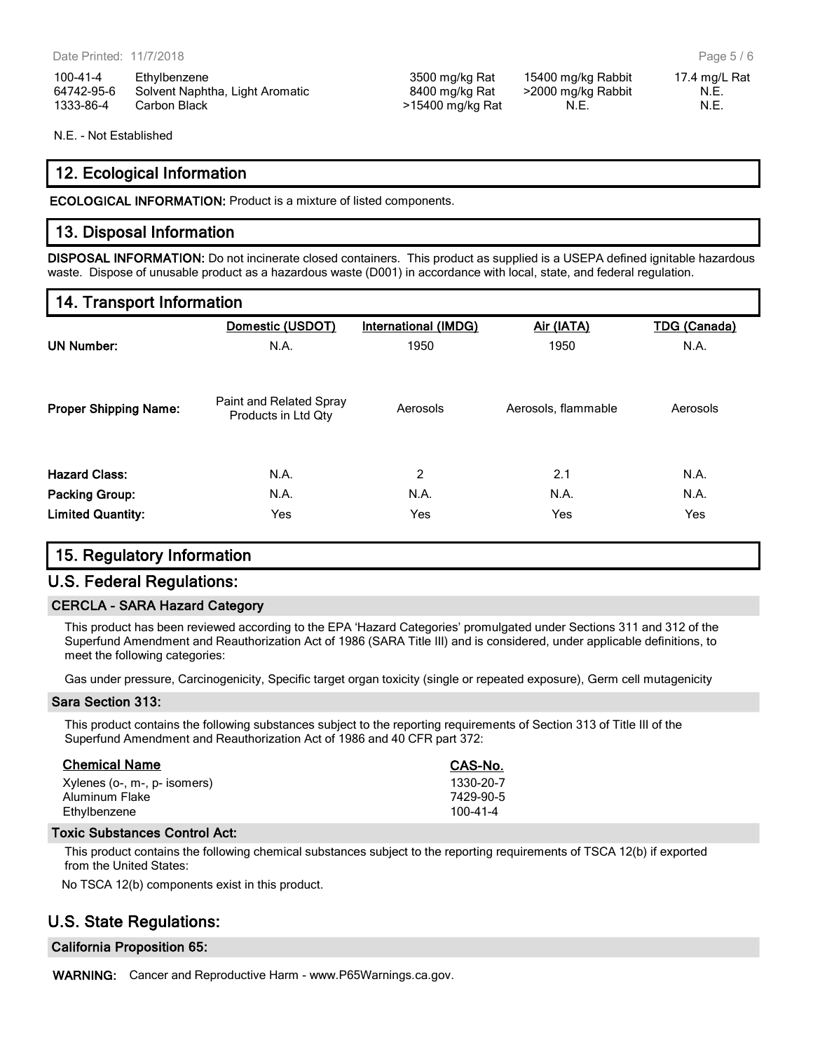100-41-4 Ethylbenzene 3500 mg/kg Rat 15400 mg/kg Rabbit 17.4 mg/L Rat 64742-95-6 Solvent Naphtha, Light Aromatic 8400 mg/kg Rat >2000 mg/kg Rabbit N.E. 1333-86-4 Carbon Black **1200 Figure 121 Carbon Black** 2012 **N.E.** 2014 **N.E.** N.E. N.E.

N.E. - Not Established

## **12. Ecological Information**

**ECOLOGICAL INFORMATION:** Product is a mixture of listed components.

## **13. Disposal Information**

**DISPOSAL INFORMATION:** Do not incinerate closed containers. This product as supplied is a USEPA defined ignitable hazardous waste. Dispose of unusable product as a hazardous waste (D001) in accordance with local, state, and federal regulation.

# **14. Transport Information**

|                              | Domestic (USDOT)                               | <b>International (IMDG)</b> | Air (IATA)          | <b>TDG (Canada)</b> |
|------------------------------|------------------------------------------------|-----------------------------|---------------------|---------------------|
| <b>UN Number:</b>            | N.A.                                           | 1950                        |                     | N.A.                |
| <b>Proper Shipping Name:</b> | Paint and Related Spray<br>Products in Ltd Qty | Aerosols                    | Aerosols, flammable | Aerosols            |
| <b>Hazard Class:</b>         | N.A.                                           | 2                           | 2.1                 | N.A.                |
| <b>Packing Group:</b>        | N.A.                                           | N.A.                        | N.A.                | N.A.                |
| <b>Limited Quantity:</b>     | Yes                                            | Yes                         | Yes                 | Yes                 |

## **15. Regulatory Information**

## **U.S. Federal Regulations:**

### **CERCLA - SARA Hazard Category**

This product has been reviewed according to the EPA 'Hazard Categories' promulgated under Sections 311 and 312 of the Superfund Amendment and Reauthorization Act of 1986 (SARA Title III) and is considered, under applicable definitions, to meet the following categories:

Gas under pressure, Carcinogenicity, Specific target organ toxicity (single or repeated exposure), Germ cell mutagenicity

### **Sara Section 313:**

This product contains the following substances subject to the reporting requirements of Section 313 of Title III of the Superfund Amendment and Reauthorization Act of 1986 and 40 CFR part 372:

| <b>Chemical Name</b>         | CAS-No.        |
|------------------------------|----------------|
| Xylenes (o-, m-, p- isomers) | 1330-20-7      |
| Aluminum Flake               | 7429-90-5      |
| Ethylbenzene                 | $100 - 41 - 4$ |

#### **Toxic Substances Control Act:**

This product contains the following chemical substances subject to the reporting requirements of TSCA 12(b) if exported from the United States:

No TSCA 12(b) components exist in this product.

## **U.S. State Regulations:**

### **California Proposition 65:**

**WARNING:** Cancer and Reproductive Harm - www.P65Warnings.ca.gov.